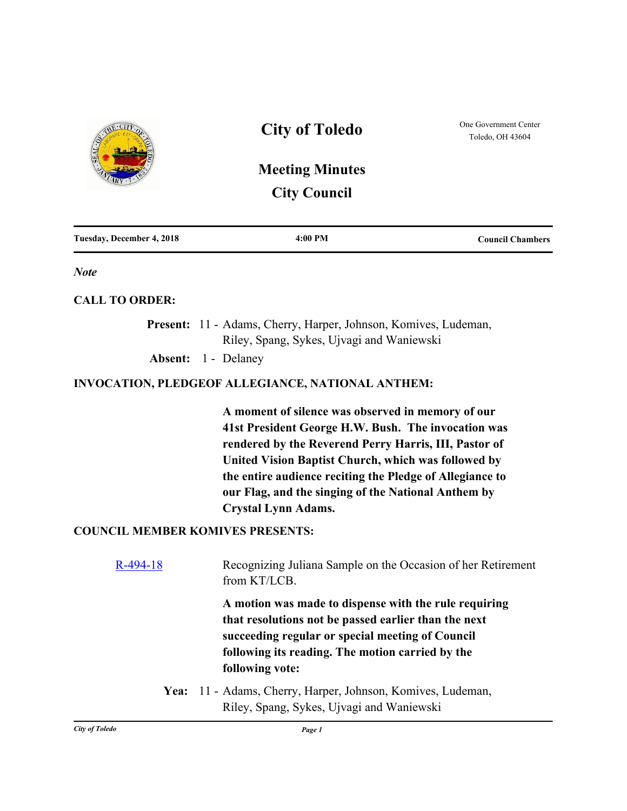

| Tuesday, December 4, 2018 | 4:00 PM | <b>Council Chambers</b> |
|---------------------------|---------|-------------------------|
|---------------------------|---------|-------------------------|

*Note*

## **CALL TO ORDER:**

Present: 11 - Adams, Cherry, Harper, Johnson, Komives, Ludeman, Riley, Spang, Sykes, Ujvagi and Waniewski **Absent:** 1 - Delaney

## **INVOCATION, PLEDGEOF ALLEGIANCE, NATIONAL ANTHEM:**

**A moment of silence was observed in memory of our 41st President George H.W. Bush. The invocation was rendered by the Reverend Perry Harris, III, Pastor of United Vision Baptist Church, which was followed by the entire audience reciting the Pledge of Allegiance to our Flag, and the singing of the National Anthem by Crystal Lynn Adams.**

## **COUNCIL MEMBER KOMIVES PRESENTS:**

| Recognizing Juliana Sample on the Occasion of her Retirement<br>from KT/LCB.                                                                                                                                                             |
|------------------------------------------------------------------------------------------------------------------------------------------------------------------------------------------------------------------------------------------|
| A motion was made to dispense with the rule requiring<br>that resolutions not be passed earlier than the next<br>succeeding regular or special meeting of Council<br>following its reading. The motion carried by the<br>following vote: |
| Yea: 11 - Adams, Cherry, Harper, Johnson, Komives, Ludeman,<br>Riley, Spang, Sykes, Ujvagi and Waniewski                                                                                                                                 |
|                                                                                                                                                                                                                                          |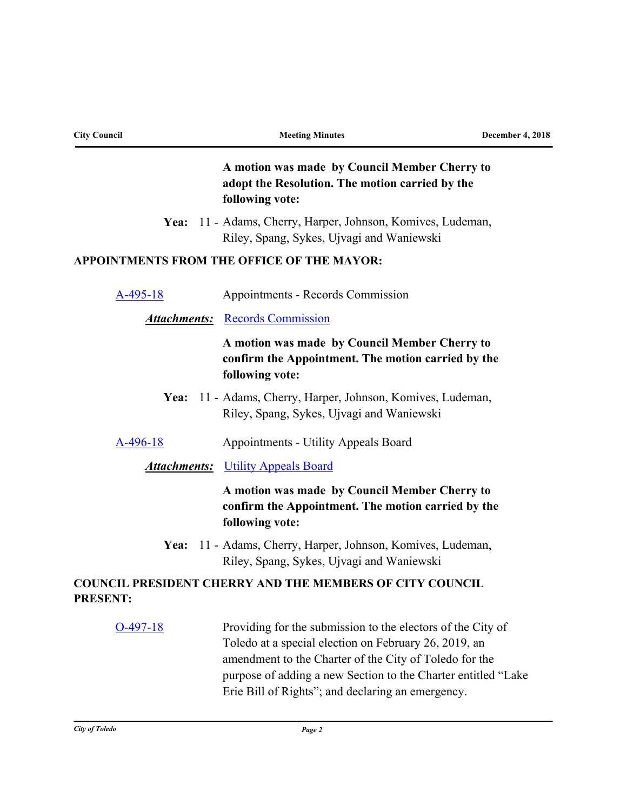| <b>City Council</b> | <b>Meeting Minutes</b>                                                                                                                                                                                                                          | <b>December 4, 2018</b> |
|---------------------|-------------------------------------------------------------------------------------------------------------------------------------------------------------------------------------------------------------------------------------------------|-------------------------|
|                     | A motion was made by Council Member Cherry to<br>adopt the Resolution. The motion carried by the<br>following vote:                                                                                                                             |                         |
|                     | Yea: 11 - Adams, Cherry, Harper, Johnson, Komives, Ludeman,<br>Riley, Spang, Sykes, Ujvagi and Waniewski                                                                                                                                        |                         |
|                     | APPOINTMENTS FROM THE OFFICE OF THE MAYOR:                                                                                                                                                                                                      |                         |
| A-495-18            | Appointments - Records Commission                                                                                                                                                                                                               |                         |
| <u>Attachments:</u> | <b>Records Commission</b>                                                                                                                                                                                                                       |                         |
|                     | A motion was made by Council Member Cherry to<br>confirm the Appointment. The motion carried by the<br>following vote:                                                                                                                          |                         |
| Yea:                | 11 - Adams, Cherry, Harper, Johnson, Komives, Ludeman,<br>Riley, Spang, Sykes, Ujvagi and Waniewski                                                                                                                                             |                         |
| A-496-18            | Appointments - Utility Appeals Board                                                                                                                                                                                                            |                         |
| <u>Attachments:</u> | <b>Utility Appeals Board</b>                                                                                                                                                                                                                    |                         |
|                     | A motion was made by Council Member Cherry to<br>confirm the Appointment. The motion carried by the<br>following vote:                                                                                                                          |                         |
|                     | Yea: 11 - Adams, Cherry, Harper, Johnson, Komives, Ludeman,<br>Riley, Spang, Sykes, Ujvagi and Waniewski                                                                                                                                        |                         |
| <b>PRESENT:</b>     | <b>COUNCIL PRESIDENT CHERRY AND THE MEMBERS OF CITY COUNCIL</b>                                                                                                                                                                                 |                         |
| $O-497-18$          | Providing for the submission to the electors of the City of<br>Toledo at a special election on February 26, 2019, an<br>amendment to the Charter of the City of Toledo for the<br>purpose of adding a new Section to the Charter entitled "Lake |                         |

Erie Bill of Rights"; and declaring an emergency.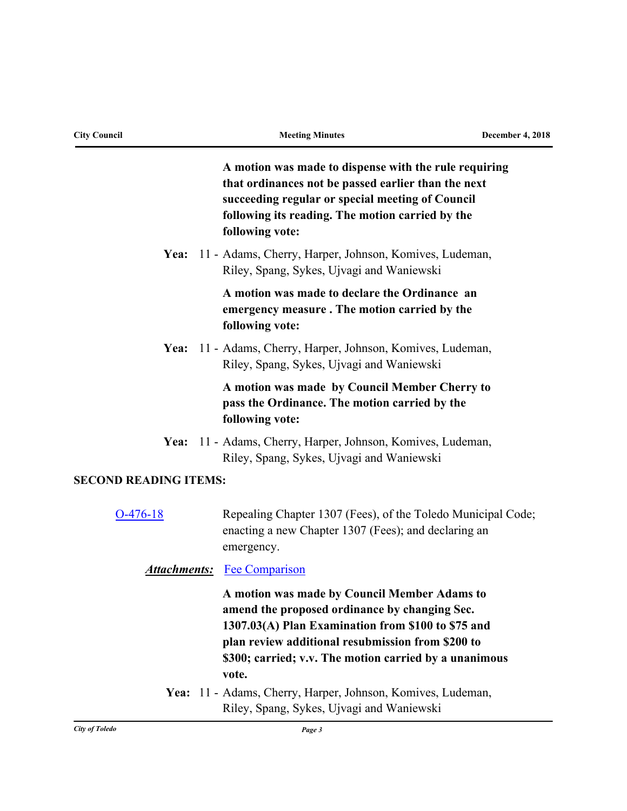|                              | A motion was made to dispense with the rule requiring<br>that ordinances not be passed earlier than the next<br>succeeding regular or special meeting of Council<br>following its reading. The motion carried by the<br>following vote:                            |
|------------------------------|--------------------------------------------------------------------------------------------------------------------------------------------------------------------------------------------------------------------------------------------------------------------|
|                              | Yea: 11 - Adams, Cherry, Harper, Johnson, Komives, Ludeman,<br>Riley, Spang, Sykes, Ujvagi and Waniewski                                                                                                                                                           |
|                              | A motion was made to declare the Ordinance an<br>emergency measure. The motion carried by the<br>following vote:                                                                                                                                                   |
| Yea:                         | 11 - Adams, Cherry, Harper, Johnson, Komives, Ludeman,<br>Riley, Spang, Sykes, Ujvagi and Waniewski                                                                                                                                                                |
|                              | A motion was made by Council Member Cherry to<br>pass the Ordinance. The motion carried by the<br>following vote:                                                                                                                                                  |
| Yea:                         | 11 - Adams, Cherry, Harper, Johnson, Komives, Ludeman,<br>Riley, Spang, Sykes, Ujvagi and Waniewski                                                                                                                                                                |
| <b>SECOND READING ITEMS:</b> |                                                                                                                                                                                                                                                                    |
| $O-476-18$                   | Repealing Chapter 1307 (Fees), of the Toledo Municipal Code;<br>enacting a new Chapter 1307 (Fees); and declaring an<br>emergency.                                                                                                                                 |
|                              | <b>Attachments:</b> Fee Comparison                                                                                                                                                                                                                                 |
|                              | A motion was made by Council Member Adams to<br>amend the proposed ordinance by changing Sec.<br>1307.03(A) Plan Examination from \$100 to \$75 and<br>plan review additional resubmission from \$200 to<br>\$300; carried; v.v. The motion carried by a unanimous |
|                              | vote.<br>Yea: 11 - Adams, Cherry, Harper, Johnson, Komives, Ludeman,<br>Riley, Spang, Sykes, Ujvagi and Waniewski                                                                                                                                                  |
| <b>City of Toledo</b>        | Page 3                                                                                                                                                                                                                                                             |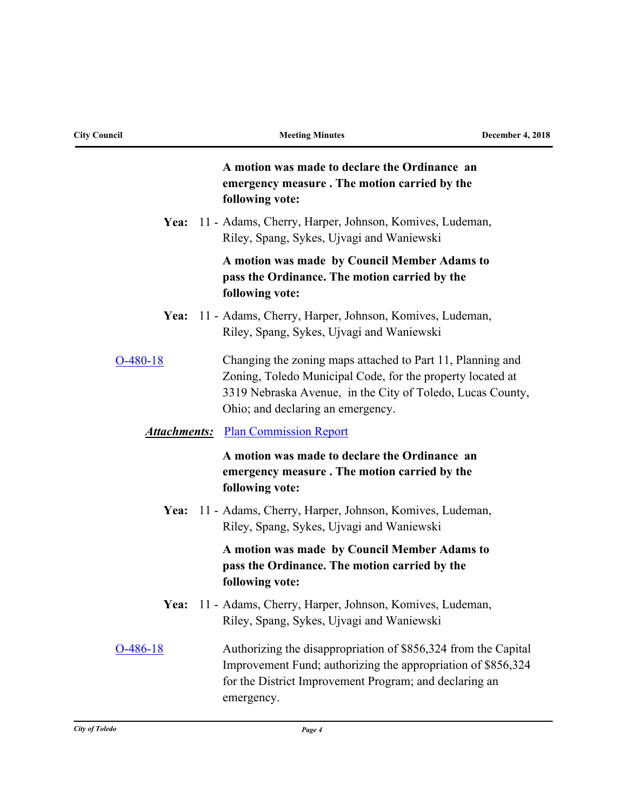| <b>City Council</b> | <b>Meeting Minutes</b>                                                                                                                                                                                                      | <b>December 4, 2018</b> |
|---------------------|-----------------------------------------------------------------------------------------------------------------------------------------------------------------------------------------------------------------------------|-------------------------|
|                     | A motion was made to declare the Ordinance an<br>emergency measure. The motion carried by the<br>following vote:                                                                                                            |                         |
|                     | Yea: 11 - Adams, Cherry, Harper, Johnson, Komives, Ludeman,<br>Riley, Spang, Sykes, Ujvagi and Waniewski                                                                                                                    |                         |
|                     | A motion was made by Council Member Adams to<br>pass the Ordinance. The motion carried by the<br>following vote:                                                                                                            |                         |
| Yea:                | 11 - Adams, Cherry, Harper, Johnson, Komives, Ludeman,<br>Riley, Spang, Sykes, Ujvagi and Waniewski                                                                                                                         |                         |
| $O-480-18$          | Changing the zoning maps attached to Part 11, Planning and<br>Zoning, Toledo Municipal Code, for the property located at<br>3319 Nebraska Avenue, in the City of Toledo, Lucas County,<br>Ohio; and declaring an emergency. |                         |
|                     | <b>Attachments:</b> Plan Commission Report                                                                                                                                                                                  |                         |
|                     | A motion was made to declare the Ordinance an<br>emergency measure. The motion carried by the<br>following vote:                                                                                                            |                         |
| Yea:                | 11 - Adams, Cherry, Harper, Johnson, Komives, Ludeman,<br>Riley, Spang, Sykes, Ujvagi and Waniewski                                                                                                                         |                         |
|                     | A motion was made by Council Member Adams to<br>pass the Ordinance. The motion carried by the<br>following vote:                                                                                                            |                         |
| Yea:                | 11 - Adams, Cherry, Harper, Johnson, Komives, Ludeman,<br>Riley, Spang, Sykes, Ujvagi and Waniewski                                                                                                                         |                         |
| $O-486-18$          | Authorizing the disappropriation of \$856,324 from the Capital<br>Improvement Fund; authorizing the appropriation of \$856,324<br>for the District Improvement Program; and declaring an<br>emergency.                      |                         |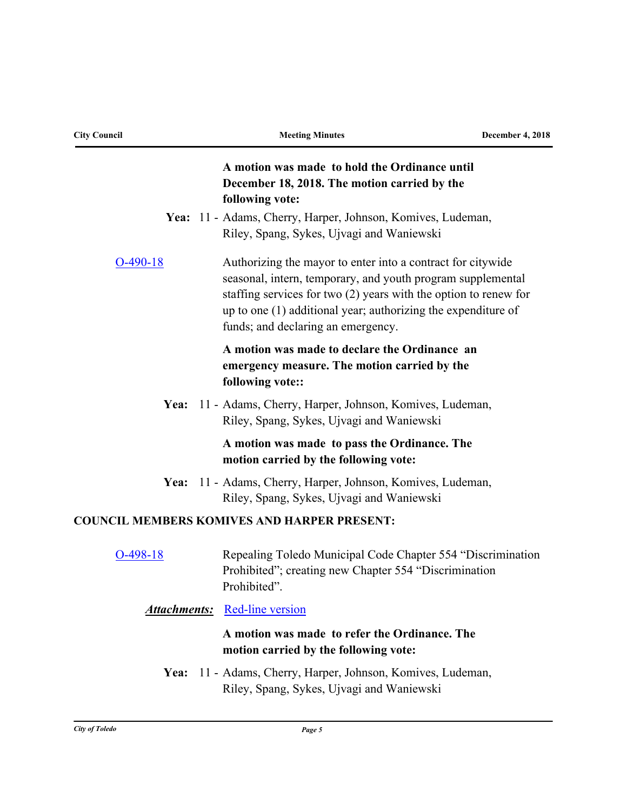| <b>City Council</b> | <b>Meeting Minutes</b>                                                                                                                                                                                                                                                                                  | <b>December 4, 2018</b> |
|---------------------|---------------------------------------------------------------------------------------------------------------------------------------------------------------------------------------------------------------------------------------------------------------------------------------------------------|-------------------------|
|                     | A motion was made to hold the Ordinance until<br>December 18, 2018. The motion carried by the<br>following vote:                                                                                                                                                                                        |                         |
|                     | Yea: 11 - Adams, Cherry, Harper, Johnson, Komives, Ludeman,<br>Riley, Spang, Sykes, Ujvagi and Waniewski                                                                                                                                                                                                |                         |
| $O-490-18$          | Authorizing the mayor to enter into a contract for citywide<br>seasonal, intern, temporary, and youth program supplemental<br>staffing services for two $(2)$ years with the option to renew for<br>up to one (1) additional year; authorizing the expenditure of<br>funds; and declaring an emergency. |                         |
|                     | A motion was made to declare the Ordinance an<br>emergency measure. The motion carried by the<br>following vote::                                                                                                                                                                                       |                         |
| Yea:                | 11 - Adams, Cherry, Harper, Johnson, Komives, Ludeman,<br>Riley, Spang, Sykes, Ujvagi and Waniewski                                                                                                                                                                                                     |                         |
|                     | A motion was made to pass the Ordinance. The<br>motion carried by the following vote:                                                                                                                                                                                                                   |                         |
| Yea:                | 11 - Adams, Cherry, Harper, Johnson, Komives, Ludeman,<br>Riley, Spang, Sykes, Ujvagi and Waniewski                                                                                                                                                                                                     |                         |
|                     | <b>COUNCIL MEMBERS KOMIVES AND HARPER PRESENT:</b>                                                                                                                                                                                                                                                      |                         |
| $O-498-18$          | Repealing Toledo Municipal Code Chapter 554 "Discrimination<br>Prohibited"; creating new Chapter 554 "Discrimination<br>Prohibited".                                                                                                                                                                    |                         |
|                     | <b>Attachments:</b> Red-line version                                                                                                                                                                                                                                                                    |                         |
|                     | A motion was made to refer the Ordinance. The<br>motion carried by the following vote:                                                                                                                                                                                                                  |                         |
| Yea:                | 11 - Adams, Cherry, Harper, Johnson, Komives, Ludeman,<br>Riley, Spang, Sykes, Ujvagi and Waniewski                                                                                                                                                                                                     |                         |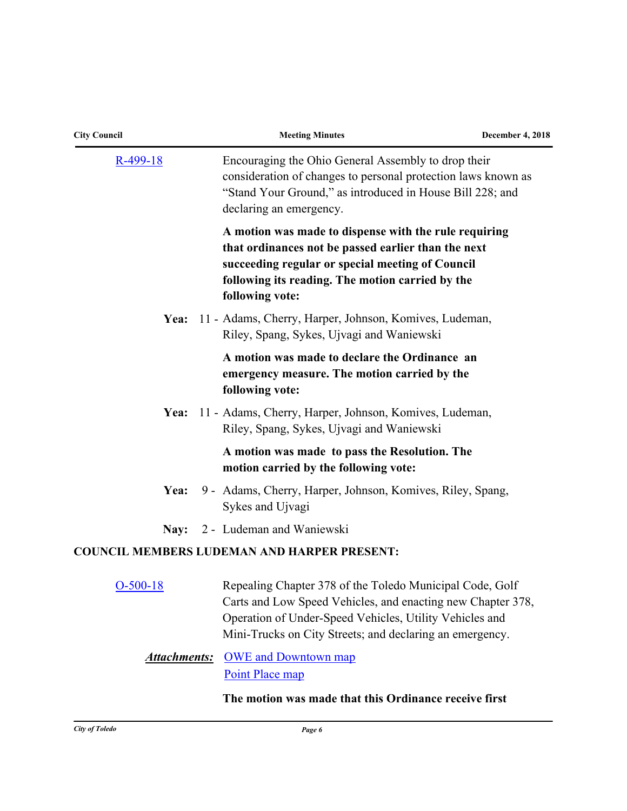| <b>City Council</b> | <b>Meeting Minutes</b>                                                                                                                                                                                                                         | <b>December 4, 2018</b> |
|---------------------|------------------------------------------------------------------------------------------------------------------------------------------------------------------------------------------------------------------------------------------------|-------------------------|
| $R-499-18$          | Encouraging the Ohio General Assembly to drop their<br>consideration of changes to personal protection laws known as<br>"Stand Your Ground," as introduced in House Bill 228; and<br>declaring an emergency.                                   |                         |
|                     | A motion was made to dispense with the rule requiring<br>that ordinances not be passed earlier than the next<br>succeeding regular or special meeting of Council<br>following its reading. The motion carried by the<br>following vote:        |                         |
| Yea:                | 11 - Adams, Cherry, Harper, Johnson, Komives, Ludeman,<br>Riley, Spang, Sykes, Ujvagi and Waniewski                                                                                                                                            |                         |
|                     | A motion was made to declare the Ordinance an<br>emergency measure. The motion carried by the<br>following vote:                                                                                                                               |                         |
| Yea:                | 11 - Adams, Cherry, Harper, Johnson, Komives, Ludeman,<br>Riley, Spang, Sykes, Ujvagi and Waniewski                                                                                                                                            |                         |
|                     | A motion was made to pass the Resolution. The<br>motion carried by the following vote:                                                                                                                                                         |                         |
| Yea:                | 9 - Adams, Cherry, Harper, Johnson, Komives, Riley, Spang,<br>Sykes and Ujvagi                                                                                                                                                                 |                         |
| Nay:                | 2 - Ludeman and Waniewski                                                                                                                                                                                                                      |                         |
|                     | <b>COUNCIL MEMBERS LUDEMAN AND HARPER PRESENT:</b>                                                                                                                                                                                             |                         |
| $O-500-18$          | Repealing Chapter 378 of the Toledo Municipal Code, Golf<br>Carts and Low Speed Vehicles, and enacting new Chapter 378,<br>Operation of Under-Speed Vehicles, Utility Vehicles and<br>Mini-Trucks on City Streets; and declaring an emergency. |                         |
| <b>Attachments:</b> | <b>OWE</b> and Downtown map<br>Point Place map                                                                                                                                                                                                 |                         |

## **The motion was made that this Ordinance receive first**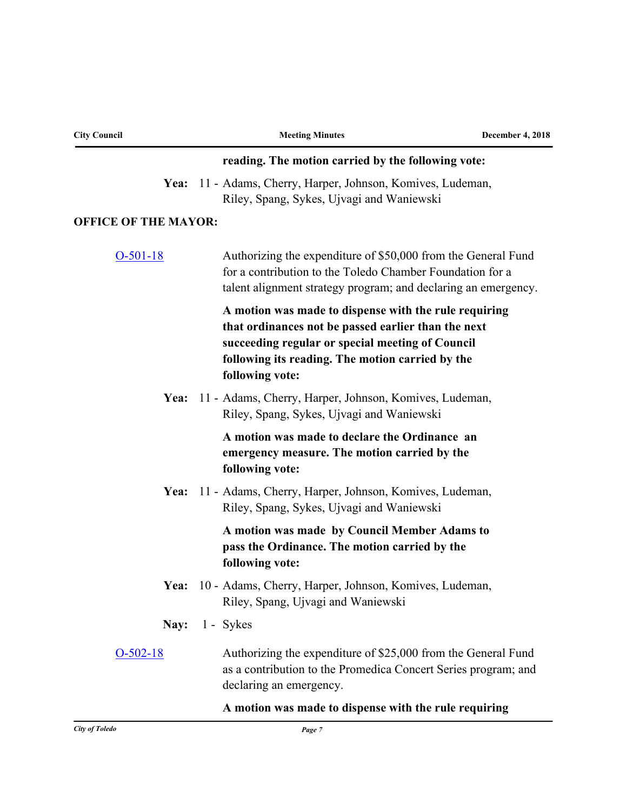| <b>City Council</b>         | <b>Meeting Minutes</b>                                                                                                                                                                                                                  | <b>December 4, 2018</b> |
|-----------------------------|-----------------------------------------------------------------------------------------------------------------------------------------------------------------------------------------------------------------------------------------|-------------------------|
|                             | reading. The motion carried by the following vote:                                                                                                                                                                                      |                         |
| Yea:                        | 11 - Adams, Cherry, Harper, Johnson, Komives, Ludeman,<br>Riley, Spang, Sykes, Ujvagi and Waniewski                                                                                                                                     |                         |
| <b>OFFICE OF THE MAYOR:</b> |                                                                                                                                                                                                                                         |                         |
| $O-501-18$                  | Authorizing the expenditure of \$50,000 from the General Fund<br>for a contribution to the Toledo Chamber Foundation for a<br>talent alignment strategy program; and declaring an emergency.                                            |                         |
|                             | A motion was made to dispense with the rule requiring<br>that ordinances not be passed earlier than the next<br>succeeding regular or special meeting of Council<br>following its reading. The motion carried by the<br>following vote: |                         |
| Yea:                        | 11 - Adams, Cherry, Harper, Johnson, Komives, Ludeman,<br>Riley, Spang, Sykes, Ujvagi and Waniewski                                                                                                                                     |                         |
|                             | A motion was made to declare the Ordinance an<br>emergency measure. The motion carried by the<br>following vote:                                                                                                                        |                         |
|                             | Yea: 11 - Adams, Cherry, Harper, Johnson, Komives, Ludeman,<br>Riley, Spang, Sykes, Ujvagi and Waniewski                                                                                                                                |                         |
|                             | A motion was made by Council Member Adams to<br>pass the Ordinance. The motion carried by the<br>following vote:                                                                                                                        |                         |
|                             | Yea: 10 - Adams, Cherry, Harper, Johnson, Komives, Ludeman,<br>Riley, Spang, Ujvagi and Waniewski                                                                                                                                       |                         |
| Nay:                        | 1 - Sykes                                                                                                                                                                                                                               |                         |
| $O-502-18$                  | Authorizing the expenditure of \$25,000 from the General Fund<br>as a contribution to the Promedica Concert Series program; and<br>declaring an emergency.                                                                              |                         |
|                             | A motion was made to dispense with the rule requiring                                                                                                                                                                                   |                         |
| <b>City of Toledo</b>       | Page 7                                                                                                                                                                                                                                  |                         |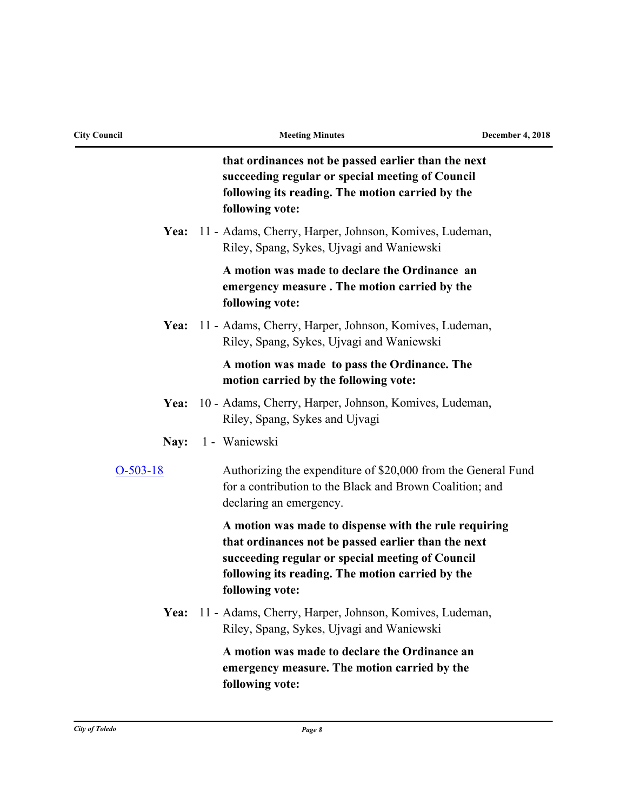| <b>City Council</b> | <b>Meeting Minutes</b>                                                                                                                                                                                                                  | <b>December 4, 2018</b> |
|---------------------|-----------------------------------------------------------------------------------------------------------------------------------------------------------------------------------------------------------------------------------------|-------------------------|
|                     | that ordinances not be passed earlier than the next<br>succeeding regular or special meeting of Council<br>following its reading. The motion carried by the<br>following vote:                                                          |                         |
| Yea:                | 11 - Adams, Cherry, Harper, Johnson, Komives, Ludeman,<br>Riley, Spang, Sykes, Ujvagi and Waniewski                                                                                                                                     |                         |
|                     | A motion was made to declare the Ordinance an<br>emergency measure. The motion carried by the<br>following vote:                                                                                                                        |                         |
|                     | Yea: 11 - Adams, Cherry, Harper, Johnson, Komives, Ludeman,<br>Riley, Spang, Sykes, Ujvagi and Waniewski                                                                                                                                |                         |
|                     | A motion was made to pass the Ordinance. The<br>motion carried by the following vote:                                                                                                                                                   |                         |
| Yea:                | 10 - Adams, Cherry, Harper, Johnson, Komives, Ludeman,<br>Riley, Spang, Sykes and Ujvagi                                                                                                                                                |                         |
| Nay:                | 1 - Waniewski                                                                                                                                                                                                                           |                         |
| $O-503-18$          | Authorizing the expenditure of \$20,000 from the General Fund<br>for a contribution to the Black and Brown Coalition; and<br>declaring an emergency.                                                                                    |                         |
|                     | A motion was made to dispense with the rule requiring<br>that ordinances not be passed earlier than the next<br>succeeding regular or special meeting of Council<br>following its reading. The motion carried by the<br>following vote: |                         |
| Yea:                | 11 - Adams, Cherry, Harper, Johnson, Komives, Ludeman,<br>Riley, Spang, Sykes, Ujvagi and Waniewski                                                                                                                                     |                         |
|                     | A motion was made to declare the Ordinance an<br>emergency measure. The motion carried by the<br>following vote:                                                                                                                        |                         |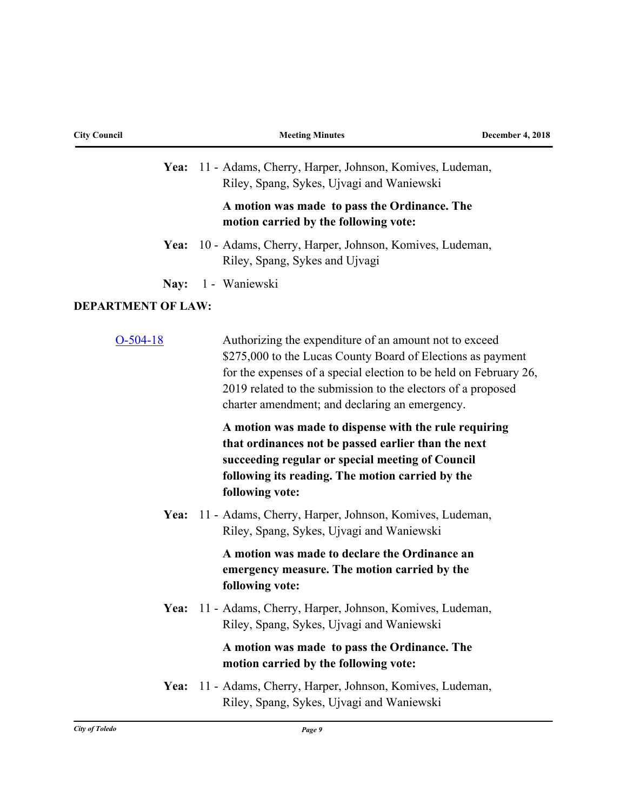| <b>City Council</b>       | <b>Meeting Minutes</b>                                                                                                                                                                                                                                                                                       | <b>December 4, 2018</b> |
|---------------------------|--------------------------------------------------------------------------------------------------------------------------------------------------------------------------------------------------------------------------------------------------------------------------------------------------------------|-------------------------|
|                           | Yea: 11 - Adams, Cherry, Harper, Johnson, Komives, Ludeman,<br>Riley, Spang, Sykes, Ujvagi and Waniewski                                                                                                                                                                                                     |                         |
|                           | A motion was made to pass the Ordinance. The<br>motion carried by the following vote:                                                                                                                                                                                                                        |                         |
| Yea:                      | 10 - Adams, Cherry, Harper, Johnson, Komives, Ludeman,<br>Riley, Spang, Sykes and Ujvagi                                                                                                                                                                                                                     |                         |
| Nay:                      | 1 - Waniewski                                                                                                                                                                                                                                                                                                |                         |
| <b>DEPARTMENT OF LAW:</b> |                                                                                                                                                                                                                                                                                                              |                         |
| $O-504-18$                | Authorizing the expenditure of an amount not to exceed<br>\$275,000 to the Lucas County Board of Elections as payment<br>for the expenses of a special election to be held on February 26,<br>2019 related to the submission to the electors of a proposed<br>charter amendment; and declaring an emergency. |                         |
|                           | A motion was made to dispense with the rule requiring<br>that ordinances not be passed earlier than the next<br>succeeding regular or special meeting of Council<br>following its reading. The motion carried by the<br>following vote:                                                                      |                         |
| Yea:                      | 11 - Adams, Cherry, Harper, Johnson, Komives, Ludeman,<br>Riley, Spang, Sykes, Ujvagi and Waniewski                                                                                                                                                                                                          |                         |
|                           | A motion was made to declare the Ordinance an<br>emergency measure. The motion carried by the<br>following vote:                                                                                                                                                                                             |                         |
| Yea:                      | 11 - Adams, Cherry, Harper, Johnson, Komives, Ludeman,<br>Riley, Spang, Sykes, Ujvagi and Waniewski                                                                                                                                                                                                          |                         |
|                           | A motion was made to pass the Ordinance. The<br>motion carried by the following vote:                                                                                                                                                                                                                        |                         |
| Yea:                      | 11 - Adams, Cherry, Harper, Johnson, Komives, Ludeman,<br>Riley, Spang, Sykes, Ujvagi and Waniewski                                                                                                                                                                                                          |                         |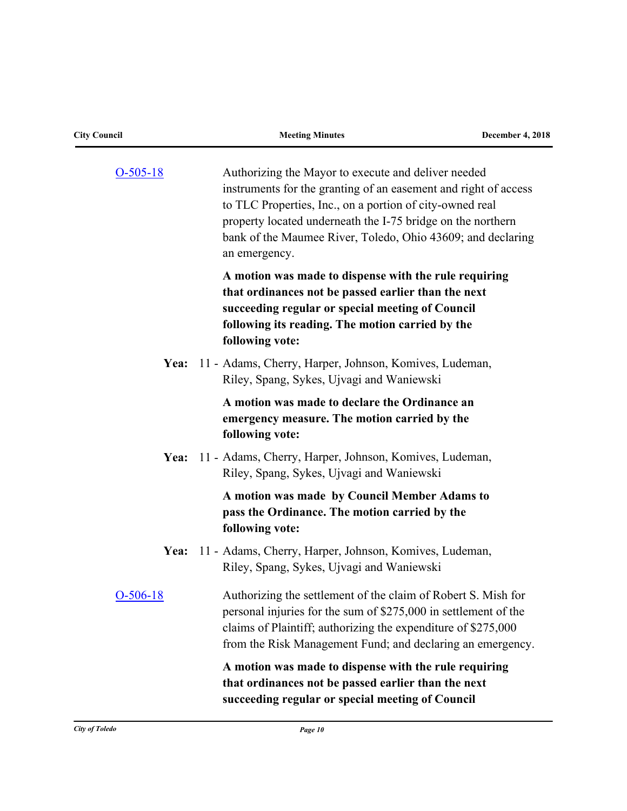| <b>City Council</b> | <b>Meeting Minutes</b>                                                                                                                                                                                                                                                                                                            | <b>December 4, 2018</b> |
|---------------------|-----------------------------------------------------------------------------------------------------------------------------------------------------------------------------------------------------------------------------------------------------------------------------------------------------------------------------------|-------------------------|
| $O-505-18$          | Authorizing the Mayor to execute and deliver needed<br>instruments for the granting of an easement and right of access<br>to TLC Properties, Inc., on a portion of city-owned real<br>property located underneath the I-75 bridge on the northern<br>bank of the Maumee River, Toledo, Ohio 43609; and declaring<br>an emergency. |                         |
|                     | A motion was made to dispense with the rule requiring<br>that ordinances not be passed earlier than the next<br>succeeding regular or special meeting of Council<br>following its reading. The motion carried by the<br>following vote:                                                                                           |                         |
| Yea:                | 11 - Adams, Cherry, Harper, Johnson, Komives, Ludeman,<br>Riley, Spang, Sykes, Ujvagi and Waniewski                                                                                                                                                                                                                               |                         |
|                     | A motion was made to declare the Ordinance an<br>emergency measure. The motion carried by the<br>following vote:                                                                                                                                                                                                                  |                         |
| Yea:                | 11 - Adams, Cherry, Harper, Johnson, Komives, Ludeman,<br>Riley, Spang, Sykes, Ujvagi and Waniewski                                                                                                                                                                                                                               |                         |
|                     | A motion was made by Council Member Adams to<br>pass the Ordinance. The motion carried by the<br>following vote:                                                                                                                                                                                                                  |                         |
| Yea:                | 11 - Adams, Cherry, Harper, Johnson, Komives, Ludeman,<br>Riley, Spang, Sykes, Ujvagi and Waniewski                                                                                                                                                                                                                               |                         |
| $O-506-18$          | Authorizing the settlement of the claim of Robert S. Mish for<br>personal injuries for the sum of \$275,000 in settlement of the<br>claims of Plaintiff; authorizing the expenditure of \$275,000<br>from the Risk Management Fund; and declaring an emergency.                                                                   |                         |
|                     | A motion was made to dispense with the rule requiring<br>that ordinances not be passed earlier than the next<br>succeeding regular or special meeting of Council                                                                                                                                                                  |                         |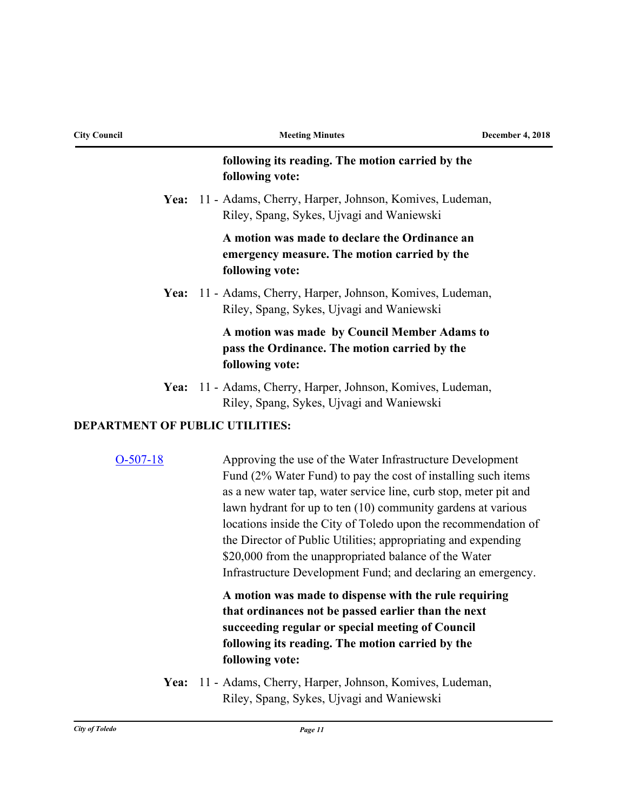| <b>City Council</b>                    | <b>Meeting Minutes</b>                                                                                                                                                                                                                                                                                                                                                                                                                                                                                                     | <b>December 4, 2018</b> |
|----------------------------------------|----------------------------------------------------------------------------------------------------------------------------------------------------------------------------------------------------------------------------------------------------------------------------------------------------------------------------------------------------------------------------------------------------------------------------------------------------------------------------------------------------------------------------|-------------------------|
|                                        | following its reading. The motion carried by the<br>following vote:                                                                                                                                                                                                                                                                                                                                                                                                                                                        |                         |
| <b>Yea:</b>                            | 11 - Adams, Cherry, Harper, Johnson, Komives, Ludeman,<br>Riley, Spang, Sykes, Ujvagi and Waniewski                                                                                                                                                                                                                                                                                                                                                                                                                        |                         |
|                                        | A motion was made to declare the Ordinance an<br>emergency measure. The motion carried by the<br>following vote:                                                                                                                                                                                                                                                                                                                                                                                                           |                         |
| Yea:                                   | 11 - Adams, Cherry, Harper, Johnson, Komives, Ludeman,<br>Riley, Spang, Sykes, Ujvagi and Waniewski                                                                                                                                                                                                                                                                                                                                                                                                                        |                         |
|                                        | A motion was made by Council Member Adams to<br>pass the Ordinance. The motion carried by the<br>following vote:                                                                                                                                                                                                                                                                                                                                                                                                           |                         |
|                                        | Yea: 11 - Adams, Cherry, Harper, Johnson, Komives, Ludeman,<br>Riley, Spang, Sykes, Ujvagi and Waniewski                                                                                                                                                                                                                                                                                                                                                                                                                   |                         |
| <b>DEPARTMENT OF PUBLIC UTILITIES:</b> |                                                                                                                                                                                                                                                                                                                                                                                                                                                                                                                            |                         |
| $O-507-18$                             | Approving the use of the Water Infrastructure Development<br>Fund (2% Water Fund) to pay the cost of installing such items<br>as a new water tap, water service line, curb stop, meter pit and<br>lawn hydrant for up to ten (10) community gardens at various<br>locations inside the City of Toledo upon the recommendation of<br>the Director of Public Utilities; appropriating and expending<br>\$20,000 from the unappropriated balance of the Water<br>Infrastructure Development Fund; and declaring an emergency. |                         |
|                                        | A motion was made to dispense with the rule requiring<br>that ordinances not be passed earlier than the next<br>succeeding regular or special meeting of Council<br>following its reading. The motion carried by the                                                                                                                                                                                                                                                                                                       |                         |

Yea: 11 - Adams, Cherry, Harper, Johnson, Komives, Ludeman,

**following vote:**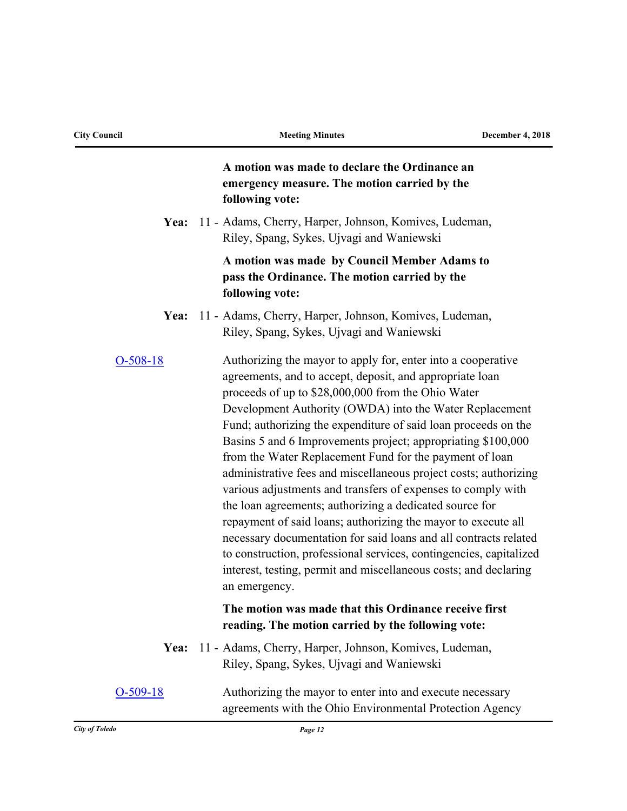|            | A motion was made to declare the Ordinance an<br>emergency measure. The motion carried by the<br>following vote:                                                                                                                                                                                                                                                                                                                                                                                                                                                                                                                                                                                                                                                                                                                                                                                                                      |
|------------|---------------------------------------------------------------------------------------------------------------------------------------------------------------------------------------------------------------------------------------------------------------------------------------------------------------------------------------------------------------------------------------------------------------------------------------------------------------------------------------------------------------------------------------------------------------------------------------------------------------------------------------------------------------------------------------------------------------------------------------------------------------------------------------------------------------------------------------------------------------------------------------------------------------------------------------|
| Yea:       | 11 - Adams, Cherry, Harper, Johnson, Komives, Ludeman,<br>Riley, Spang, Sykes, Ujvagi and Waniewski                                                                                                                                                                                                                                                                                                                                                                                                                                                                                                                                                                                                                                                                                                                                                                                                                                   |
|            | A motion was made by Council Member Adams to<br>pass the Ordinance. The motion carried by the<br>following vote:                                                                                                                                                                                                                                                                                                                                                                                                                                                                                                                                                                                                                                                                                                                                                                                                                      |
| Yea:       | 11 - Adams, Cherry, Harper, Johnson, Komives, Ludeman,<br>Riley, Spang, Sykes, Ujvagi and Waniewski                                                                                                                                                                                                                                                                                                                                                                                                                                                                                                                                                                                                                                                                                                                                                                                                                                   |
| $O-508-18$ | Authorizing the mayor to apply for, enter into a cooperative<br>agreements, and to accept, deposit, and appropriate loan<br>proceeds of up to \$28,000,000 from the Ohio Water<br>Development Authority (OWDA) into the Water Replacement<br>Fund; authorizing the expenditure of said loan proceeds on the<br>Basins 5 and 6 Improvements project; appropriating \$100,000<br>from the Water Replacement Fund for the payment of loan<br>administrative fees and miscellaneous project costs; authorizing<br>various adjustments and transfers of expenses to comply with<br>the loan agreements; authorizing a dedicated source for<br>repayment of said loans; authorizing the mayor to execute all<br>necessary documentation for said loans and all contracts related<br>to construction, professional services, contingencies, capitalized<br>interest, testing, permit and miscellaneous costs; and declaring<br>an emergency. |
|            | The motion was made that this Ordinance receive first<br>reading. The motion carried by the following vote:                                                                                                                                                                                                                                                                                                                                                                                                                                                                                                                                                                                                                                                                                                                                                                                                                           |
| Yea:       | 11 - Adams, Cherry, Harper, Johnson, Komives, Ludeman,<br>Riley, Spang, Sykes, Ujvagi and Waniewski                                                                                                                                                                                                                                                                                                                                                                                                                                                                                                                                                                                                                                                                                                                                                                                                                                   |
| $O-509-18$ | Authorizing the mayor to enter into and execute necessary<br>agreements with the Ohio Environmental Protection Agency                                                                                                                                                                                                                                                                                                                                                                                                                                                                                                                                                                                                                                                                                                                                                                                                                 |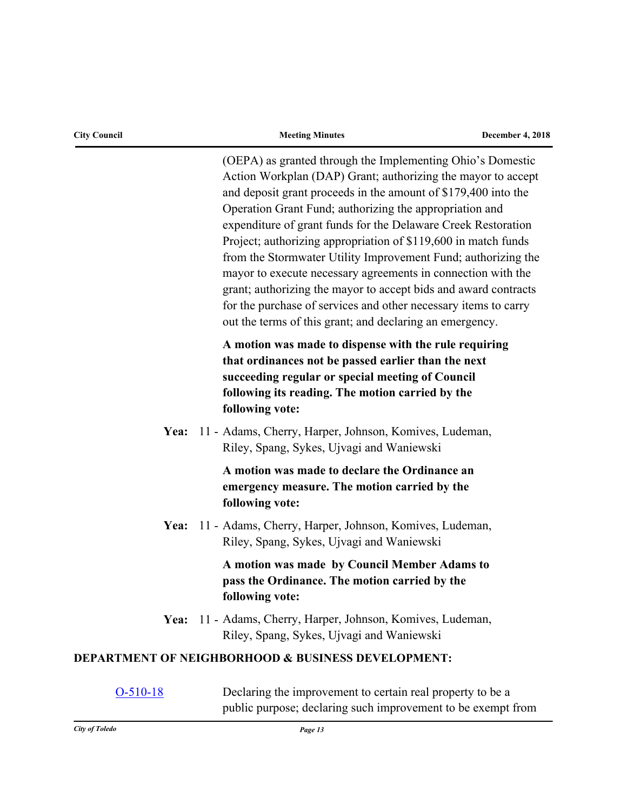| <b>City Council</b> | <b>Meeting Minutes</b>                                                                                                                                                                                                                                                                                                                                                                                                                                                                                                                                                                                                                                                                                                        | December 4, 2018 |
|---------------------|-------------------------------------------------------------------------------------------------------------------------------------------------------------------------------------------------------------------------------------------------------------------------------------------------------------------------------------------------------------------------------------------------------------------------------------------------------------------------------------------------------------------------------------------------------------------------------------------------------------------------------------------------------------------------------------------------------------------------------|------------------|
|                     | (OEPA) as granted through the Implementing Ohio's Domestic<br>Action Workplan (DAP) Grant; authorizing the mayor to accept<br>and deposit grant proceeds in the amount of \$179,400 into the<br>Operation Grant Fund; authorizing the appropriation and<br>expenditure of grant funds for the Delaware Creek Restoration<br>Project; authorizing appropriation of \$119,600 in match funds<br>from the Stormwater Utility Improvement Fund; authorizing the<br>mayor to execute necessary agreements in connection with the<br>grant; authorizing the mayor to accept bids and award contracts<br>for the purchase of services and other necessary items to carry<br>out the terms of this grant; and declaring an emergency. |                  |
|                     | A motion was made to dispense with the rule requiring<br>that ordinances not be passed earlier than the next<br>succeeding regular or special meeting of Council<br>following its reading. The motion carried by the<br>following vote:                                                                                                                                                                                                                                                                                                                                                                                                                                                                                       |                  |
| Yea:                | 11 - Adams, Cherry, Harper, Johnson, Komives, Ludeman,<br>Riley, Spang, Sykes, Ujvagi and Waniewski                                                                                                                                                                                                                                                                                                                                                                                                                                                                                                                                                                                                                           |                  |
|                     | A motion was made to declare the Ordinance an<br>emergency measure. The motion carried by the<br>following vote:                                                                                                                                                                                                                                                                                                                                                                                                                                                                                                                                                                                                              |                  |
|                     | Yea: 11 - Adams, Cherry, Harper, Johnson, Komives, Ludeman,<br>Riley, Spang, Sykes, Ujvagi and Waniewski                                                                                                                                                                                                                                                                                                                                                                                                                                                                                                                                                                                                                      |                  |
|                     | A motion was made by Council Member Adams to<br>pass the Ordinance. The motion carried by the<br>following vote:                                                                                                                                                                                                                                                                                                                                                                                                                                                                                                                                                                                                              |                  |
|                     | Yea: 11 - Adams, Cherry, Harper, Johnson, Komives, Ludeman,<br>Riley, Spang, Sykes, Ujvagi and Waniewski                                                                                                                                                                                                                                                                                                                                                                                                                                                                                                                                                                                                                      |                  |
|                     | <b>DEPARTMENT OF NEIGHBORHOOD &amp; BUSINESS DEVELOPMENT:</b>                                                                                                                                                                                                                                                                                                                                                                                                                                                                                                                                                                                                                                                                 |                  |
| $O-510-18$          | Declaring the improvement to certain real property to be a<br>public purpose; declaring such improvement to be exempt from                                                                                                                                                                                                                                                                                                                                                                                                                                                                                                                                                                                                    |                  |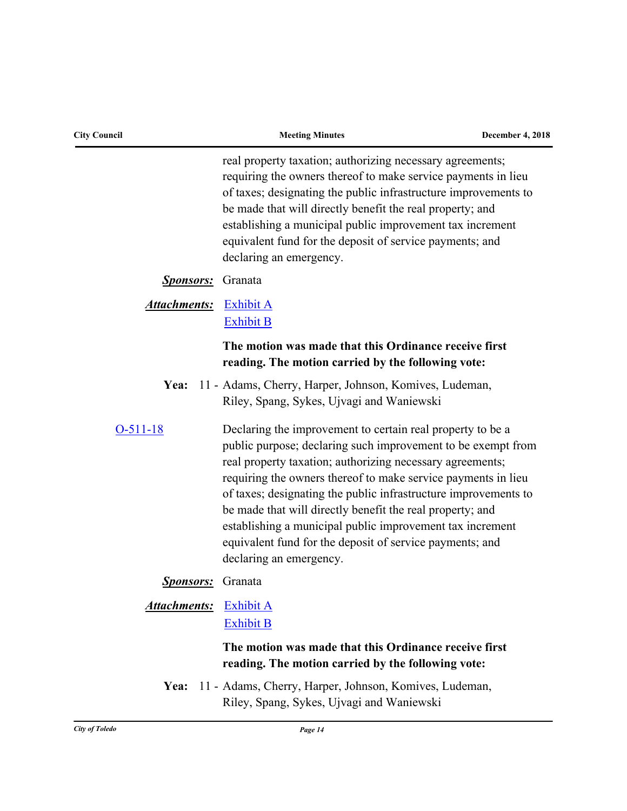| <b>City Council</b> | <b>Meeting Minutes</b>                                                                                                                                                                                                                                                                                                                                                                                                                                                                                                                       | <b>December 4, 2018</b> |
|---------------------|----------------------------------------------------------------------------------------------------------------------------------------------------------------------------------------------------------------------------------------------------------------------------------------------------------------------------------------------------------------------------------------------------------------------------------------------------------------------------------------------------------------------------------------------|-------------------------|
|                     | real property taxation; authorizing necessary agreements;<br>requiring the owners thereof to make service payments in lieu<br>of taxes; designating the public infrastructure improvements to<br>be made that will directly benefit the real property; and<br>establishing a municipal public improvement tax increment<br>equivalent fund for the deposit of service payments; and<br>declaring an emergency.                                                                                                                               |                         |
| <b>Sponsors:</b>    | Granata                                                                                                                                                                                                                                                                                                                                                                                                                                                                                                                                      |                         |
| <b>Attachments:</b> | <b>Exhibit A</b><br><b>Exhibit B</b>                                                                                                                                                                                                                                                                                                                                                                                                                                                                                                         |                         |
|                     | The motion was made that this Ordinance receive first<br>reading. The motion carried by the following vote:                                                                                                                                                                                                                                                                                                                                                                                                                                  |                         |
| Yea:                | 11 - Adams, Cherry, Harper, Johnson, Komives, Ludeman,<br>Riley, Spang, Sykes, Ujvagi and Waniewski                                                                                                                                                                                                                                                                                                                                                                                                                                          |                         |
| $O-511-18$          | Declaring the improvement to certain real property to be a<br>public purpose; declaring such improvement to be exempt from<br>real property taxation; authorizing necessary agreements;<br>requiring the owners thereof to make service payments in lieu<br>of taxes; designating the public infrastructure improvements to<br>be made that will directly benefit the real property; and<br>establishing a municipal public improvement tax increment<br>equivalent fund for the deposit of service payments; and<br>declaring an emergency. |                         |
| <u>Sponsors:</u>    | Granata                                                                                                                                                                                                                                                                                                                                                                                                                                                                                                                                      |                         |
| <b>Attachments:</b> | <b>Exhibit A</b><br><b>Exhibit B</b>                                                                                                                                                                                                                                                                                                                                                                                                                                                                                                         |                         |
|                     | The motion was made that this Ordinance receive first<br>reading. The motion carried by the following vote:                                                                                                                                                                                                                                                                                                                                                                                                                                  |                         |
| Yea:                | 11 - Adams, Cherry, Harper, Johnson, Komives, Ludeman,<br>Riley, Spang, Sykes, Ujvagi and Waniewski                                                                                                                                                                                                                                                                                                                                                                                                                                          |                         |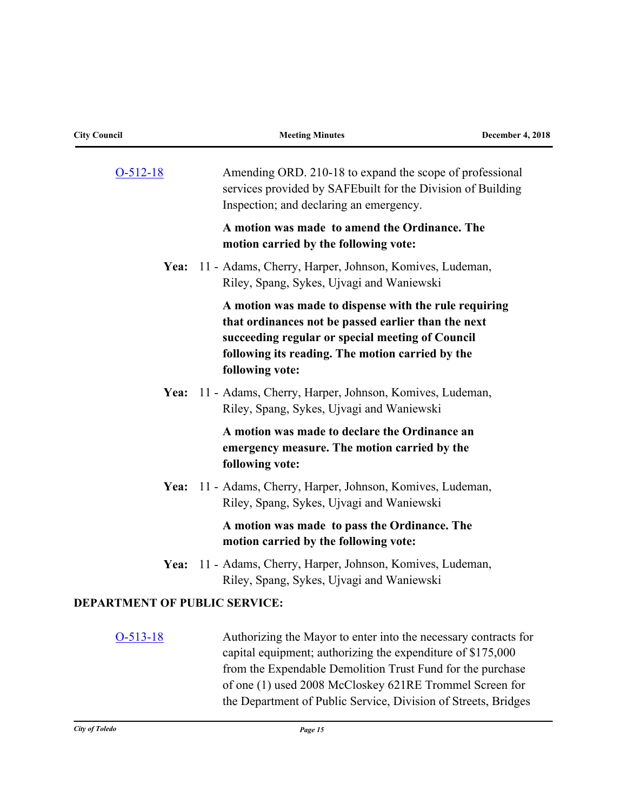| <b>City Council</b>                  | <b>Meeting Minutes</b>                                                                                                                                                                                                                                  | <b>December 4, 2018</b> |
|--------------------------------------|---------------------------------------------------------------------------------------------------------------------------------------------------------------------------------------------------------------------------------------------------------|-------------------------|
| $O-512-18$                           | Amending ORD. 210-18 to expand the scope of professional<br>services provided by SAFE built for the Division of Building<br>Inspection; and declaring an emergency.                                                                                     |                         |
|                                      | A motion was made to amend the Ordinance. The<br>motion carried by the following vote:                                                                                                                                                                  |                         |
| Yea:                                 | 11 - Adams, Cherry, Harper, Johnson, Komives, Ludeman,<br>Riley, Spang, Sykes, Ujvagi and Waniewski                                                                                                                                                     |                         |
|                                      | A motion was made to dispense with the rule requiring<br>that ordinances not be passed earlier than the next<br>succeeding regular or special meeting of Council<br>following its reading. The motion carried by the<br>following vote:                 |                         |
| Yea:                                 | 11 - Adams, Cherry, Harper, Johnson, Komives, Ludeman,<br>Riley, Spang, Sykes, Ujvagi and Waniewski                                                                                                                                                     |                         |
|                                      | A motion was made to declare the Ordinance an<br>emergency measure. The motion carried by the<br>following vote:                                                                                                                                        |                         |
| Yea:                                 | 11 - Adams, Cherry, Harper, Johnson, Komives, Ludeman,<br>Riley, Spang, Sykes, Ujvagi and Waniewski                                                                                                                                                     |                         |
|                                      | A motion was made to pass the Ordinance. The<br>motion carried by the following vote:                                                                                                                                                                   |                         |
| Yea:                                 | 11 - Adams, Cherry, Harper, Johnson, Komives, Ludeman,<br>Riley, Spang, Sykes, Ujvagi and Waniewski                                                                                                                                                     |                         |
| <b>DEPARTMENT OF PUBLIC SERVICE:</b> |                                                                                                                                                                                                                                                         |                         |
| $O-513-18$                           | Authorizing the Mayor to enter into the necessary contracts for<br>capital equipment; authorizing the expenditure of \$175,000<br>from the Expendable Demolition Trust Fund for the purchase<br>of one (1) used 2008 McCloskey 621RE Trommel Screen for |                         |

the Department of Public Service, Division of Streets, Bridges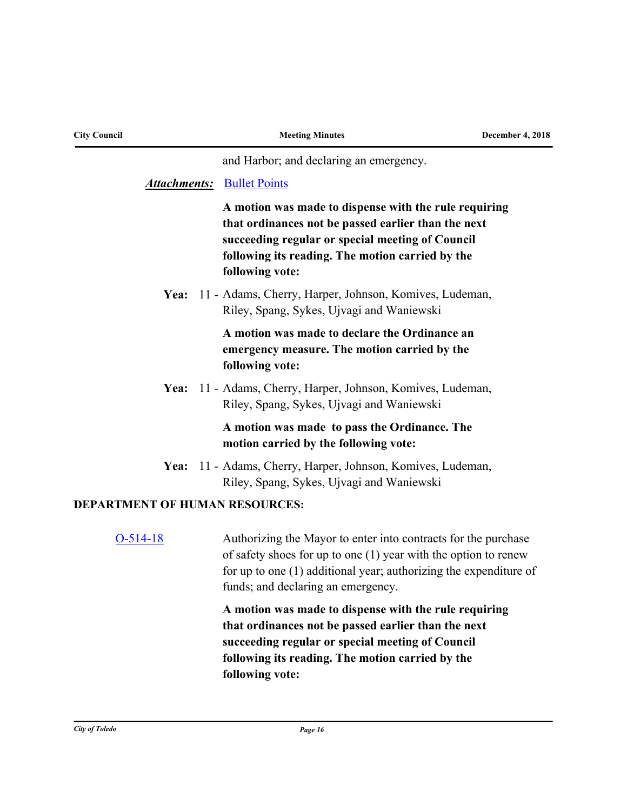| <b>City Council</b>                   | <b>Meeting Minutes</b>                                                                                                                                                                                                                           | <b>December 4, 2018</b> |
|---------------------------------------|--------------------------------------------------------------------------------------------------------------------------------------------------------------------------------------------------------------------------------------------------|-------------------------|
|                                       | and Harbor; and declaring an emergency.                                                                                                                                                                                                          |                         |
|                                       | <b>Attachments:</b> Bullet Points                                                                                                                                                                                                                |                         |
|                                       | A motion was made to dispense with the rule requiring<br>that ordinances not be passed earlier than the next<br>succeeding regular or special meeting of Council<br>following its reading. The motion carried by the<br>following vote:          |                         |
| Yea:                                  | 11 - Adams, Cherry, Harper, Johnson, Komives, Ludeman,<br>Riley, Spang, Sykes, Ujvagi and Waniewski                                                                                                                                              |                         |
|                                       | A motion was made to declare the Ordinance an<br>emergency measure. The motion carried by the<br>following vote:                                                                                                                                 |                         |
| Yea:                                  | 11 - Adams, Cherry, Harper, Johnson, Komives, Ludeman,<br>Riley, Spang, Sykes, Ujvagi and Waniewski                                                                                                                                              |                         |
|                                       | A motion was made to pass the Ordinance. The<br>motion carried by the following vote:                                                                                                                                                            |                         |
| Yea:                                  | 11 - Adams, Cherry, Harper, Johnson, Komives, Ludeman,<br>Riley, Spang, Sykes, Ujvagi and Waniewski                                                                                                                                              |                         |
| <b>DEPARTMENT OF HUMAN RESOURCES:</b> |                                                                                                                                                                                                                                                  |                         |
| $O-514-18$                            | Authorizing the Mayor to enter into contracts for the purchase<br>of safety shoes for up to one $(1)$ year with the option to renew<br>for up to one $(1)$ additional year; authorizing the expenditure of<br>funds; and declaring an emergency. |                         |
|                                       | A motion was made to dispense with the rule requiring<br>that ordinances not be passed earlier than the next<br>succeeding regular or special meeting of Council<br>following its reading. The motion carried by the<br>following vote:          |                         |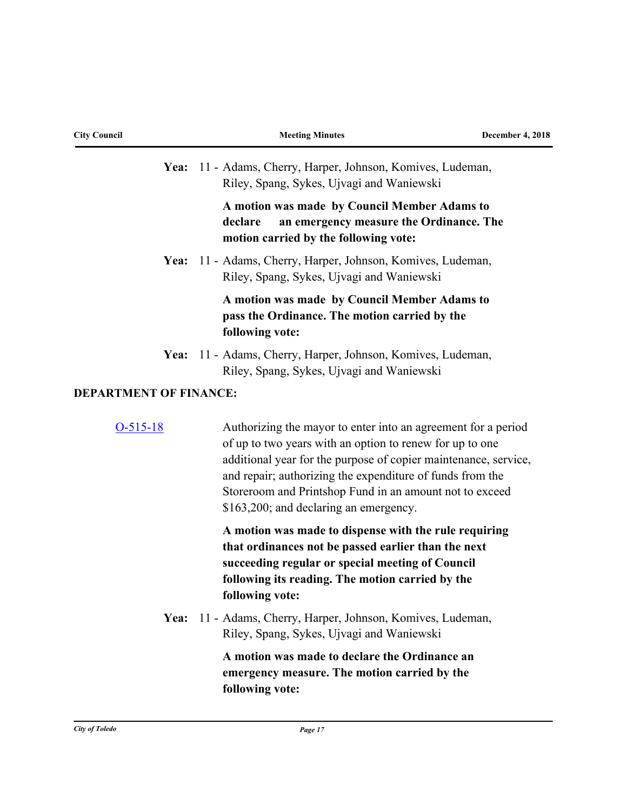| <b>City Council</b>           | <b>Meeting Minutes</b>                                                                                                                                                                                                                                                                                                                                         | <b>December 4, 2018</b> |
|-------------------------------|----------------------------------------------------------------------------------------------------------------------------------------------------------------------------------------------------------------------------------------------------------------------------------------------------------------------------------------------------------------|-------------------------|
|                               | Yea: 11 - Adams, Cherry, Harper, Johnson, Komives, Ludeman,<br>Riley, Spang, Sykes, Ujvagi and Waniewski                                                                                                                                                                                                                                                       |                         |
|                               | A motion was made by Council Member Adams to<br>declare<br>an emergency measure the Ordinance. The<br>motion carried by the following vote:                                                                                                                                                                                                                    |                         |
|                               | Yea: 11 - Adams, Cherry, Harper, Johnson, Komives, Ludeman,<br>Riley, Spang, Sykes, Ujvagi and Waniewski                                                                                                                                                                                                                                                       |                         |
|                               | A motion was made by Council Member Adams to<br>pass the Ordinance. The motion carried by the<br>following vote:                                                                                                                                                                                                                                               |                         |
|                               | Yea: 11 - Adams, Cherry, Harper, Johnson, Komives, Ludeman,<br>Riley, Spang, Sykes, Ujvagi and Waniewski                                                                                                                                                                                                                                                       |                         |
| <b>DEPARTMENT OF FINANCE:</b> |                                                                                                                                                                                                                                                                                                                                                                |                         |
| $O-515-18$                    | Authorizing the mayor to enter into an agreement for a period<br>of up to two years with an option to renew for up to one<br>additional year for the purpose of copier maintenance, service,<br>and repair; authorizing the expenditure of funds from the<br>Storeroom and Printshop Fund in an amount not to exceed<br>\$163,200; and declaring an emergency. |                         |
|                               | A motion was made to dispense with the rule requiring<br>that ordinances not be passed earlier than the next<br>succeeding regular or special meeting of Council<br>following its reading. The motion carried by the<br>following vote:                                                                                                                        |                         |
|                               | Yea: 11 - Adams, Cherry, Harper, Johnson, Komives, Ludeman,<br>Riley, Spang, Sykes, Ujvagi and Waniewski                                                                                                                                                                                                                                                       |                         |
|                               | A motion was made to declare the Ordinance an<br>emergency measure. The motion carried by the<br>following vote:                                                                                                                                                                                                                                               |                         |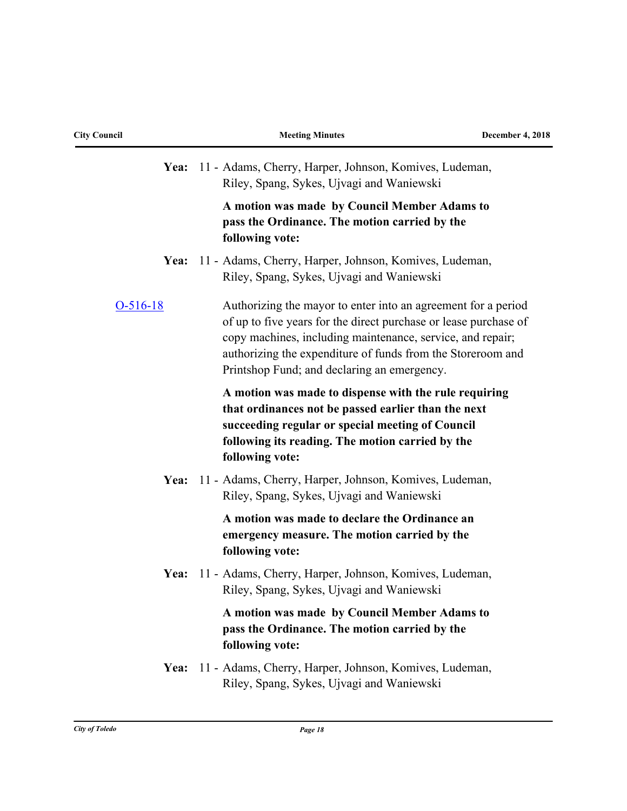| <b>City Council</b> |  |  |
|---------------------|--|--|
|---------------------|--|--|

|            | Yea: 11 - Adams, Cherry, Harper, Johnson, Komives, Ludeman,<br>Riley, Spang, Sykes, Ujvagi and Waniewski                                                                                                                                                                                                      |
|------------|---------------------------------------------------------------------------------------------------------------------------------------------------------------------------------------------------------------------------------------------------------------------------------------------------------------|
|            | A motion was made by Council Member Adams to<br>pass the Ordinance. The motion carried by the<br>following vote:                                                                                                                                                                                              |
| Yea:       | 11 - Adams, Cherry, Harper, Johnson, Komives, Ludeman,<br>Riley, Spang, Sykes, Ujvagi and Waniewski                                                                                                                                                                                                           |
| $O-516-18$ | Authorizing the mayor to enter into an agreement for a period<br>of up to five years for the direct purchase or lease purchase of<br>copy machines, including maintenance, service, and repair;<br>authorizing the expenditure of funds from the Storeroom and<br>Printshop Fund; and declaring an emergency. |
|            | A motion was made to dispense with the rule requiring<br>that ordinances not be passed earlier than the next<br>succeeding regular or special meeting of Council<br>following its reading. The motion carried by the<br>following vote:                                                                       |
| Yea:       | 11 - Adams, Cherry, Harper, Johnson, Komives, Ludeman,<br>Riley, Spang, Sykes, Ujvagi and Waniewski                                                                                                                                                                                                           |
|            | A motion was made to declare the Ordinance an<br>emergency measure. The motion carried by the<br>following vote:                                                                                                                                                                                              |
| Yea:       | 11 - Adams, Cherry, Harper, Johnson, Komives, Ludeman,<br>Riley, Spang, Sykes, Ujvagi and Waniewski                                                                                                                                                                                                           |
|            | A motion was made by Council Member Adams to<br>pass the Ordinance. The motion carried by the<br>following vote:                                                                                                                                                                                              |
| Yea:       | 11 - Adams, Cherry, Harper, Johnson, Komives, Ludeman,<br>Riley, Spang, Sykes, Ujvagi and Waniewski                                                                                                                                                                                                           |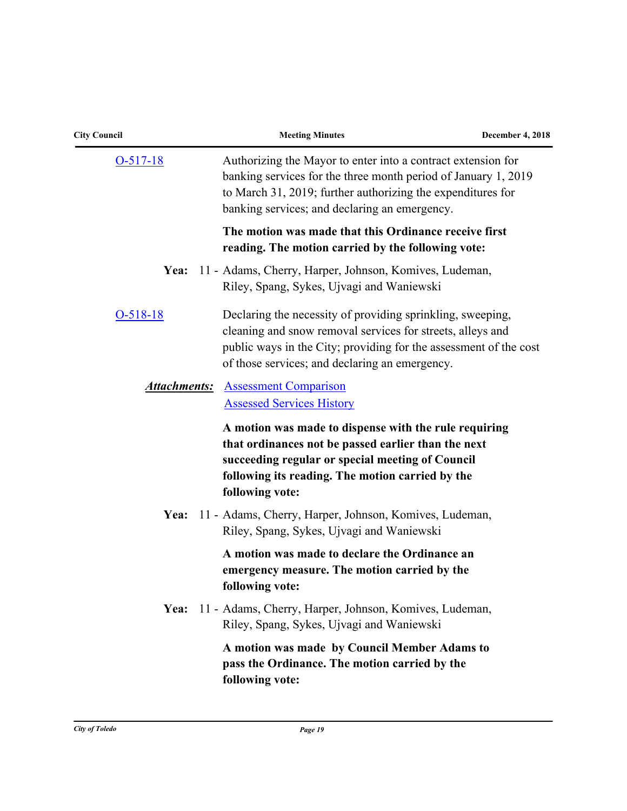| <b>City Council</b> | <b>Meeting Minutes</b>                                                                                                                                                                                                                          | <b>December 4, 2018</b> |
|---------------------|-------------------------------------------------------------------------------------------------------------------------------------------------------------------------------------------------------------------------------------------------|-------------------------|
| $O-517-18$          | Authorizing the Mayor to enter into a contract extension for<br>banking services for the three month period of January 1, 2019<br>to March 31, 2019; further authorizing the expenditures for<br>banking services; and declaring an emergency.  |                         |
|                     | The motion was made that this Ordinance receive first<br>reading. The motion carried by the following vote:                                                                                                                                     |                         |
| Yea:                | 11 - Adams, Cherry, Harper, Johnson, Komives, Ludeman,<br>Riley, Spang, Sykes, Ujvagi and Waniewski                                                                                                                                             |                         |
| $O-518-18$          | Declaring the necessity of providing sprinkling, sweeping,<br>cleaning and snow removal services for streets, alleys and<br>public ways in the City; providing for the assessment of the cost<br>of those services; and declaring an emergency. |                         |
| <b>Attachments:</b> | <b>Assessment Comparison</b><br><b>Assessed Services History</b>                                                                                                                                                                                |                         |
|                     | A motion was made to dispense with the rule requiring<br>that ordinances not be passed earlier than the next<br>succeeding regular or special meeting of Council<br>following its reading. The motion carried by the<br>following vote:         |                         |
| Yea:                | 11 - Adams, Cherry, Harper, Johnson, Komives, Ludeman,<br>Riley, Spang, Sykes, Ujvagi and Waniewski                                                                                                                                             |                         |
|                     | A motion was made to declare the Ordinance an<br>emergency measure. The motion carried by the<br>following vote:                                                                                                                                |                         |
| Yea:                | 11 - Adams, Cherry, Harper, Johnson, Komives, Ludeman,<br>Riley, Spang, Sykes, Ujvagi and Waniewski                                                                                                                                             |                         |
|                     | A motion was made by Council Member Adams to<br>pass the Ordinance. The motion carried by the<br>following vote:                                                                                                                                |                         |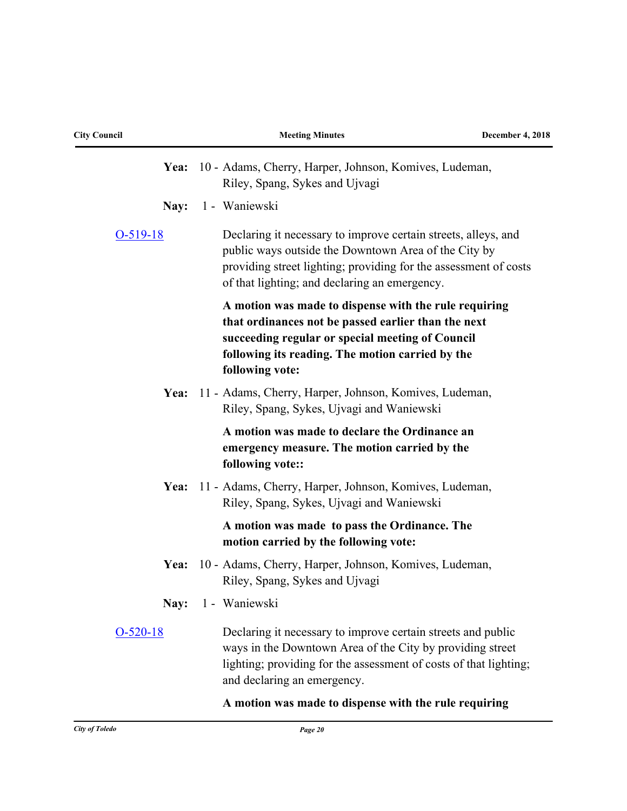| <b>City Council</b> | <b>Meeting Minutes</b>                                                                                                                                                                                                                      | <b>December 4, 2018</b> |
|---------------------|---------------------------------------------------------------------------------------------------------------------------------------------------------------------------------------------------------------------------------------------|-------------------------|
| Yea:                | 10 - Adams, Cherry, Harper, Johnson, Komives, Ludeman,<br>Riley, Spang, Sykes and Ujvagi                                                                                                                                                    |                         |
| Nay:                | 1 - Waniewski                                                                                                                                                                                                                               |                         |
| $O-519-18$          | Declaring it necessary to improve certain streets, alleys, and<br>public ways outside the Downtown Area of the City by<br>providing street lighting; providing for the assessment of costs<br>of that lighting; and declaring an emergency. |                         |
|                     | A motion was made to dispense with the rule requiring<br>that ordinances not be passed earlier than the next<br>succeeding regular or special meeting of Council<br>following its reading. The motion carried by the<br>following vote:     |                         |
| Yea:                | 11 - Adams, Cherry, Harper, Johnson, Komives, Ludeman,<br>Riley, Spang, Sykes, Ujvagi and Waniewski                                                                                                                                         |                         |
|                     | A motion was made to declare the Ordinance an<br>emergency measure. The motion carried by the<br>following vote::                                                                                                                           |                         |
| Yea:                | 11 - Adams, Cherry, Harper, Johnson, Komives, Ludeman,<br>Riley, Spang, Sykes, Ujvagi and Waniewski                                                                                                                                         |                         |
|                     | A motion was made to pass the Ordinance. The<br>motion carried by the following vote:                                                                                                                                                       |                         |
| Yea:                | 10 - Adams, Cherry, Harper, Johnson, Komives, Ludeman,<br>Riley, Spang, Sykes and Ujvagi                                                                                                                                                    |                         |
|                     | Nav: 1 - Waniewski                                                                                                                                                                                                                          |                         |
| $O-520-18$          | Declaring it necessary to improve certain streets and public<br>ways in the Downtown Area of the City by providing street<br>lighting; providing for the assessment of costs of that lighting;<br>and declaring an emergency.               |                         |
|                     | A motion was made to dispense with the rule requiring                                                                                                                                                                                       |                         |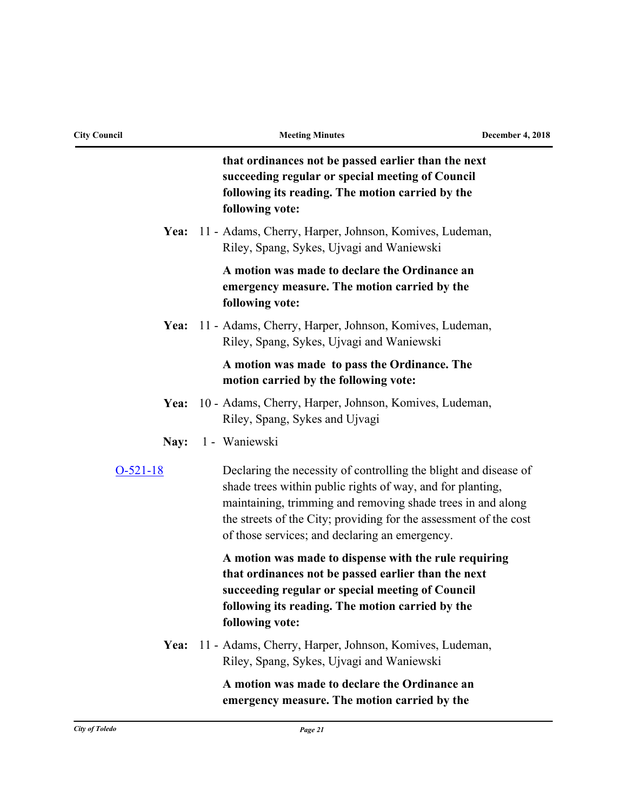| <b>City Council</b> | <b>Meeting Minutes</b>                                                                                                                                                                                                                                                                                               | <b>December 4, 2018</b> |
|---------------------|----------------------------------------------------------------------------------------------------------------------------------------------------------------------------------------------------------------------------------------------------------------------------------------------------------------------|-------------------------|
|                     | that ordinances not be passed earlier than the next<br>succeeding regular or special meeting of Council<br>following its reading. The motion carried by the<br>following vote:                                                                                                                                       |                         |
| Yea:                | 11 - Adams, Cherry, Harper, Johnson, Komives, Ludeman,<br>Riley, Spang, Sykes, Ujvagi and Waniewski                                                                                                                                                                                                                  |                         |
|                     | A motion was made to declare the Ordinance an<br>emergency measure. The motion carried by the<br>following vote:                                                                                                                                                                                                     |                         |
| Yea:                | 11 - Adams, Cherry, Harper, Johnson, Komives, Ludeman,<br>Riley, Spang, Sykes, Ujvagi and Waniewski                                                                                                                                                                                                                  |                         |
|                     | A motion was made to pass the Ordinance. The<br>motion carried by the following vote:                                                                                                                                                                                                                                |                         |
| Yea:                | 10 - Adams, Cherry, Harper, Johnson, Komives, Ludeman,<br>Riley, Spang, Sykes and Ujvagi                                                                                                                                                                                                                             |                         |
| Nay:                | 1 - Waniewski                                                                                                                                                                                                                                                                                                        |                         |
| $O-521-18$          | Declaring the necessity of controlling the blight and disease of<br>shade trees within public rights of way, and for planting,<br>maintaining, trimming and removing shade trees in and along<br>the streets of the City; providing for the assessment of the cost<br>of those services; and declaring an emergency. |                         |
|                     | A motion was made to dispense with the rule requiring<br>that ordinances not be passed earlier than the next<br>succeeding regular or special meeting of Council<br>following its reading. The motion carried by the<br>following vote:                                                                              |                         |
| Yea:                | 11 - Adams, Cherry, Harper, Johnson, Komives, Ludeman,<br>Riley, Spang, Sykes, Ujvagi and Waniewski                                                                                                                                                                                                                  |                         |
|                     | A motion was made to declare the Ordinance an<br>emergency measure. The motion carried by the                                                                                                                                                                                                                        |                         |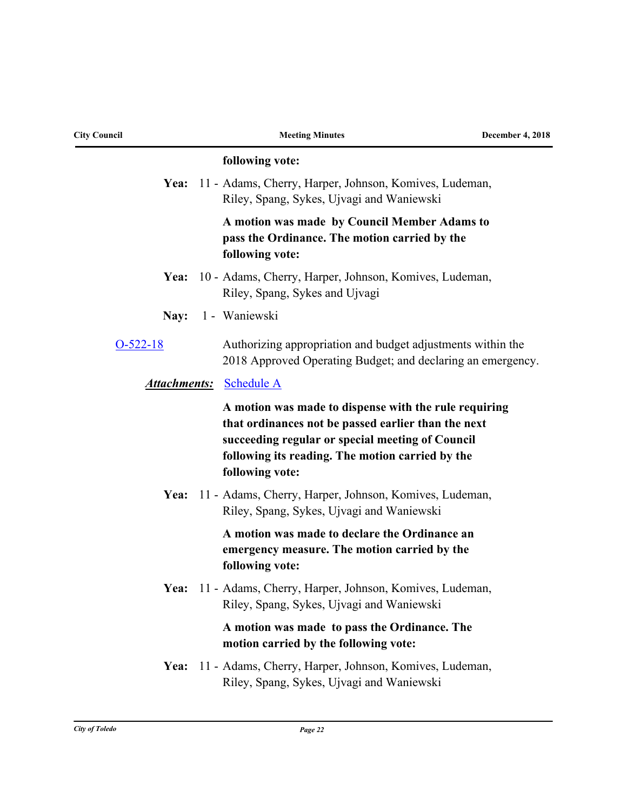| <b>City Council</b> | <b>Meeting Minutes</b>                                                                                                                                                                                                                  | <b>December 4, 2018</b> |
|---------------------|-----------------------------------------------------------------------------------------------------------------------------------------------------------------------------------------------------------------------------------------|-------------------------|
|                     | following vote:                                                                                                                                                                                                                         |                         |
|                     | Yea: 11 - Adams, Cherry, Harper, Johnson, Komives, Ludeman,<br>Riley, Spang, Sykes, Ujvagi and Waniewski                                                                                                                                |                         |
|                     | A motion was made by Council Member Adams to<br>pass the Ordinance. The motion carried by the<br>following vote:                                                                                                                        |                         |
| Yea:                | 10 - Adams, Cherry, Harper, Johnson, Komives, Ludeman,<br>Riley, Spang, Sykes and Ujvagi                                                                                                                                                |                         |
| Nay:                | 1 - Waniewski                                                                                                                                                                                                                           |                         |
| $O-522-18$          | Authorizing appropriation and budget adjustments within the<br>2018 Approved Operating Budget; and declaring an emergency.                                                                                                              |                         |
| <u>Attachments:</u> | <b>Schedule A</b>                                                                                                                                                                                                                       |                         |
|                     | A motion was made to dispense with the rule requiring<br>that ordinances not be passed earlier than the next<br>succeeding regular or special meeting of Council<br>following its reading. The motion carried by the<br>following vote: |                         |
| Yea:                | 11 - Adams, Cherry, Harper, Johnson, Komives, Ludeman,<br>Riley, Spang, Sykes, Ujvagi and Waniewski                                                                                                                                     |                         |
|                     | A motion was made to declare the Ordinance an<br>emergency measure. The motion carried by the<br>following vote:                                                                                                                        |                         |
|                     | Yea: 11 - Adams, Cherry, Harper, Johnson, Komives, Ludeman,<br>Riley, Spang, Sykes, Ujvagi and Waniewski                                                                                                                                |                         |
|                     | A motion was made to pass the Ordinance. The<br>motion carried by the following vote:                                                                                                                                                   |                         |
| Yea:                | 11 - Adams, Cherry, Harper, Johnson, Komives, Ludeman,<br>Riley, Spang, Sykes, Ujvagi and Waniewski                                                                                                                                     |                         |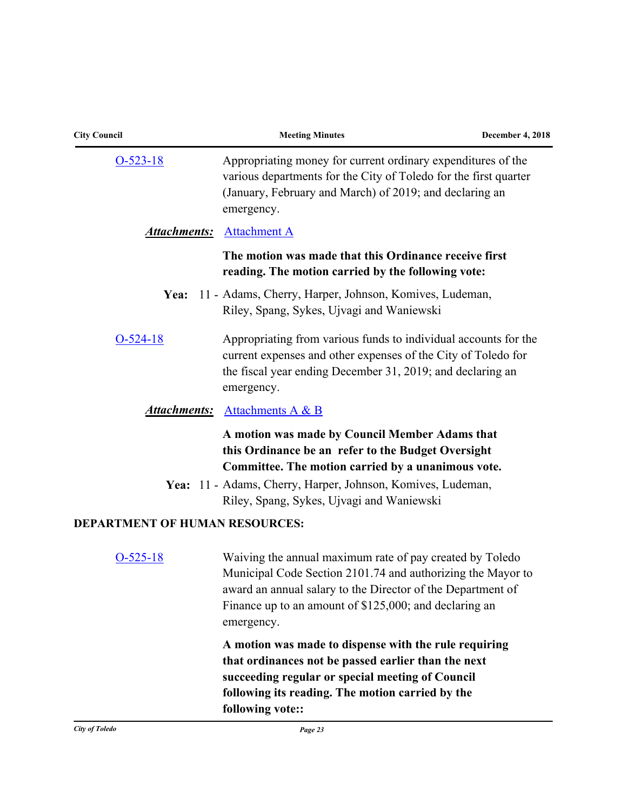| <b>City Council</b>                   | <b>Meeting Minutes</b>                                                                                                                                                                                                                                         | <b>December 4, 2018</b> |
|---------------------------------------|----------------------------------------------------------------------------------------------------------------------------------------------------------------------------------------------------------------------------------------------------------------|-------------------------|
| $O-523-18$                            | Appropriating money for current ordinary expenditures of the<br>various departments for the City of Toledo for the first quarter<br>(January, February and March) of 2019; and declaring an<br>emergency.                                                      |                         |
| <u>Attachments:</u>                   | <b>Attachment A</b>                                                                                                                                                                                                                                            |                         |
|                                       | The motion was made that this Ordinance receive first<br>reading. The motion carried by the following vote:                                                                                                                                                    |                         |
| Yea:                                  | 11 - Adams, Cherry, Harper, Johnson, Komives, Ludeman,<br>Riley, Spang, Sykes, Ujvagi and Waniewski                                                                                                                                                            |                         |
| $O-524-18$                            | Appropriating from various funds to individual accounts for the<br>current expenses and other expenses of the City of Toledo for<br>the fiscal year ending December 31, 2019; and declaring an<br>emergency.                                                   |                         |
|                                       | <b>Attachments:</b> Attachments A & B                                                                                                                                                                                                                          |                         |
|                                       | A motion was made by Council Member Adams that<br>this Ordinance be an refer to the Budget Oversight<br>Committee. The motion carried by a unanimous vote.                                                                                                     |                         |
|                                       | Yea: 11 - Adams, Cherry, Harper, Johnson, Komives, Ludeman,<br>Riley, Spang, Sykes, Ujvagi and Waniewski                                                                                                                                                       |                         |
| <b>DEPARTMENT OF HUMAN RESOURCES:</b> |                                                                                                                                                                                                                                                                |                         |
| $O-525-18$                            | Waiving the annual maximum rate of pay created by Toledo<br>Municipal Code Section 2101.74 and authorizing the Mayor to<br>award an annual salary to the Director of the Department of<br>Finance up to an amount of \$125,000; and declaring an<br>emergency. |                         |
|                                       | A motion was made to dispense with the rule requiring<br>that ordinances not be passed earlier than the next<br>succeeding regular or special meeting of Council<br>following its reading. The motion carried by the<br>following vote::                       |                         |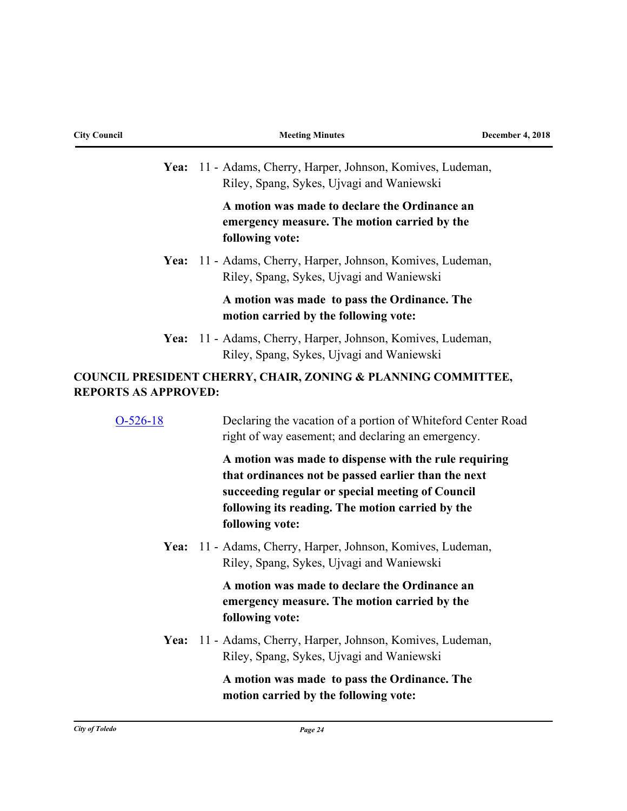| <b>City Council</b>         | <b>Meeting Minutes</b>                                                                                                                                                                                                                  | <b>December 4, 2018</b> |
|-----------------------------|-----------------------------------------------------------------------------------------------------------------------------------------------------------------------------------------------------------------------------------------|-------------------------|
|                             | Yea: 11 - Adams, Cherry, Harper, Johnson, Komives, Ludeman,<br>Riley, Spang, Sykes, Ujvagi and Waniewski                                                                                                                                |                         |
|                             | A motion was made to declare the Ordinance an<br>emergency measure. The motion carried by the<br>following vote:                                                                                                                        |                         |
| Yea:                        | 11 - Adams, Cherry, Harper, Johnson, Komives, Ludeman,<br>Riley, Spang, Sykes, Ujvagi and Waniewski                                                                                                                                     |                         |
|                             | A motion was made to pass the Ordinance. The<br>motion carried by the following vote:                                                                                                                                                   |                         |
| Yea:                        | 11 - Adams, Cherry, Harper, Johnson, Komives, Ludeman,<br>Riley, Spang, Sykes, Ujvagi and Waniewski                                                                                                                                     |                         |
| <b>REPORTS AS APPROVED:</b> | <b>COUNCIL PRESIDENT CHERRY, CHAIR, ZONING &amp; PLANNING COMMITTEE,</b>                                                                                                                                                                |                         |
| $O-526-18$                  | Declaring the vacation of a portion of Whiteford Center Road<br>right of way easement; and declaring an emergency.                                                                                                                      |                         |
|                             | A motion was made to dispense with the rule requiring<br>that ordinances not be passed earlier than the next<br>succeeding regular or special meeting of Council<br>following its reading. The motion carried by the<br>following vote: |                         |
| Yea:                        | 11 - Adams, Cherry, Harper, Johnson, Komives, Ludeman,<br>Riley, Spang, Sykes, Ujvagi and Waniewski                                                                                                                                     |                         |
|                             | A motion was made to declare the Ordinance an<br>emergency measure. The motion carried by the<br>following vote:                                                                                                                        |                         |
| Yea:                        | 11 - Adams, Cherry, Harper, Johnson, Komives, Ludeman,<br>Riley, Spang, Sykes, Ujvagi and Waniewski                                                                                                                                     |                         |
|                             | A motion was made to pass the Ordinance. The<br>motion carried by the following vote:                                                                                                                                                   |                         |